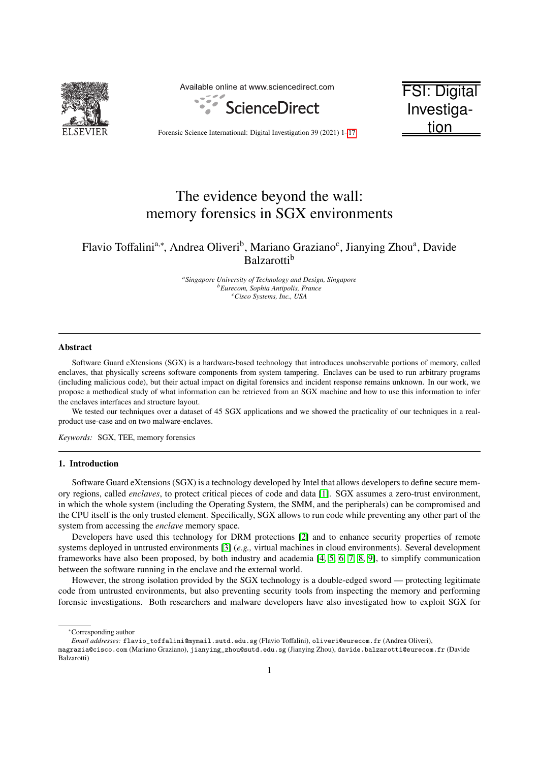

Available online at www.sciencedirect.com



FSI: Digital Investigation

Forensic Science International: Digital Investigation 39 (2021) 1[–17](#page-17-0)

# The evidence beyond the wall: memory forensics in SGX environments

# Flavio Toffalini<sup>a,∗</sup>, Andrea Oliveri<sup>b</sup>, Mariano Graziano<sup>c</sup>, Jianying Zhou<sup>a</sup>, Davide Balzarotti<sup>b</sup>

*<sup>a</sup>Singapore University of Technology and Design, Singapore <sup>b</sup>Eurecom, Sophia Antipolis, France <sup>c</sup>Cisco Systems, Inc., USA*

#### Abstract

Software Guard eXtensions (SGX) is a hardware-based technology that introduces unobservable portions of memory, called enclaves, that physically screens software components from system tampering. Enclaves can be used to run arbitrary programs (including malicious code), but their actual impact on digital forensics and incident response remains unknown. In our work, we propose a methodical study of what information can be retrieved from an SGX machine and how to use this information to infer the enclaves interfaces and structure layout.

We tested our techniques over a dataset of 45 SGX applications and we showed the practicality of our techniques in a realproduct use-case and on two malware-enclaves.

*Keywords:* SGX, TEE, memory forensics

# 1. Introduction

Software Guard eXtensions (SGX) is a technology developed by Intel that allows developers to define secure memory regions, called *enclaves*, to protect critical pieces of code and data [\[1\]](#page-14-0). SGX assumes a zero-trust environment, in which the whole system (including the Operating System, the SMM, and the peripherals) can be compromised and the CPU itself is the only trusted element. Specifically, SGX allows to run code while preventing any other part of the system from accessing the *enclave* memory space.

Developers have used this technology for DRM protections [\[2\]](#page-14-1) and to enhance security properties of remote systems deployed in untrusted environments [\[3\]](#page-14-2) (*e.g.,* virtual machines in cloud environments). Several development frameworks have also been proposed, by both industry and academia [\[4,](#page-14-3) [5,](#page-14-4) [6,](#page-14-5) [7,](#page-14-6) [8,](#page-14-7) [9\]](#page-14-8), to simplify communication between the software running in the enclave and the external world.

However, the strong isolation provided by the SGX technology is a double-edged sword — protecting legitimate code from untrusted environments, but also preventing security tools from inspecting the memory and performing forensic investigations. Both researchers and malware developers have also investigated how to exploit SGX for

<sup>∗</sup>Corresponding author

magrazia@cisco.com (Mariano Graziano), jianying\_zhou@sutd.edu.sg (Jianying Zhou), davide.balzarotti@eurecom.fr (Davide Balzarotti)

*Email addresses:* flavio\_toffalini@mymail.sutd.edu.sg (Flavio Toffalini), oliveri@eurecom.fr (Andrea Oliveri),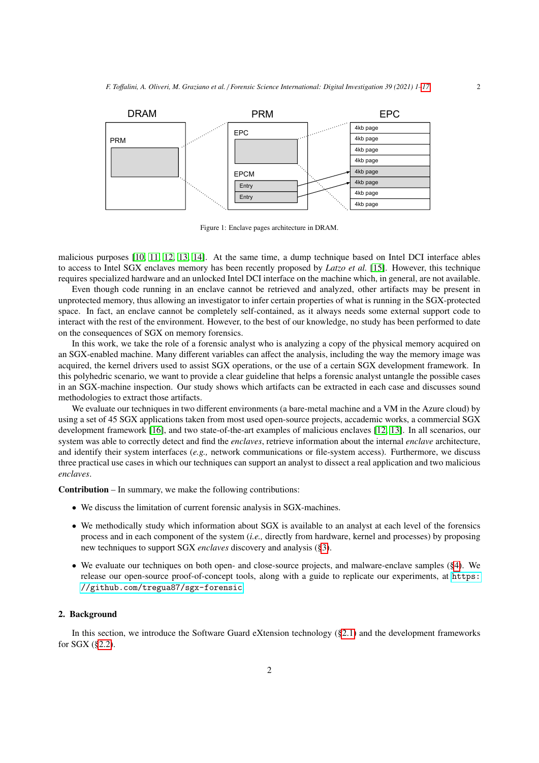<span id="page-1-0"></span>

Figure 1: Enclave pages architecture in DRAM.

malicious purposes [\[10,](#page-14-9) [11,](#page-14-10) [12,](#page-14-11) [13,](#page-14-12) [14\]](#page-15-0). At the same time, a dump technique based on Intel DCI interface ables to access to Intel SGX enclaves memory has been recently proposed by *Latzo et al.* [\[15\]](#page-15-1). However, this technique requires specialized hardware and an unlocked Intel DCI interface on the machine which, in general, are not available.

Even though code running in an enclave cannot be retrieved and analyzed, other artifacts may be present in unprotected memory, thus allowing an investigator to infer certain properties of what is running in the SGX-protected space. In fact, an enclave cannot be completely self-contained, as it always needs some external support code to interact with the rest of the environment. However, to the best of our knowledge, no study has been performed to date on the consequences of SGX on memory forensics.

In this work, we take the role of a forensic analyst who is analyzing a copy of the physical memory acquired on an SGX-enabled machine. Many different variables can affect the analysis, including the way the memory image was acquired, the kernel drivers used to assist SGX operations, or the use of a certain SGX development framework. In this polyhedric scenario, we want to provide a clear guideline that helps a forensic analyst untangle the possible cases in an SGX-machine inspection. Our study shows which artifacts can be extracted in each case and discusses sound methodologies to extract those artifacts.

We evaluate our techniques in two different environments (a bare-metal machine and a VM in the Azure cloud) by using a set of 45 SGX applications taken from most used open-source projects, accademic works, a commercial SGX development framework [\[16\]](#page-15-2), and two state-of-the-art examples of malicious enclaves [\[12,](#page-14-11) [13\]](#page-14-12). In all scenarios, our system was able to correctly detect and find the *enclaves*, retrieve information about the internal *enclave* architecture, and identify their system interfaces (*e.g.,* network communications or file-system access). Furthermore, we discuss three practical use cases in which our techniques can support an analyst to dissect a real application and two malicious *enclaves*.

Contribution – In summary, we make the following contributions:

- We discuss the limitation of current forensic analysis in SGX-machines.
- We methodically study which information about SGX is available to an analyst at each level of the forensics process and in each component of the system (*i.e.,* directly from hardware, kernel and processes) by proposing new techniques to support SGX *enclaves* discovery and analysis ([§3\)](#page-3-0).
- We evaluate our techniques on both open- and close-source projects, and malware-enclave samples ([§4\)](#page-9-0). We release our open-source proof-of-concept tools, along with a guide to replicate our experiments, at [https:](https://github.com/tregua87/sgx-forensic) [//github.com/tregua87/sgx-forensic](https://github.com/tregua87/sgx-forensic).

# <span id="page-1-1"></span>2. Background

In this section, we introduce the Software Guard eXtension technology ([§2.1\)](#page-2-0) and the development frameworks for SGX ([§2.2\)](#page-3-1).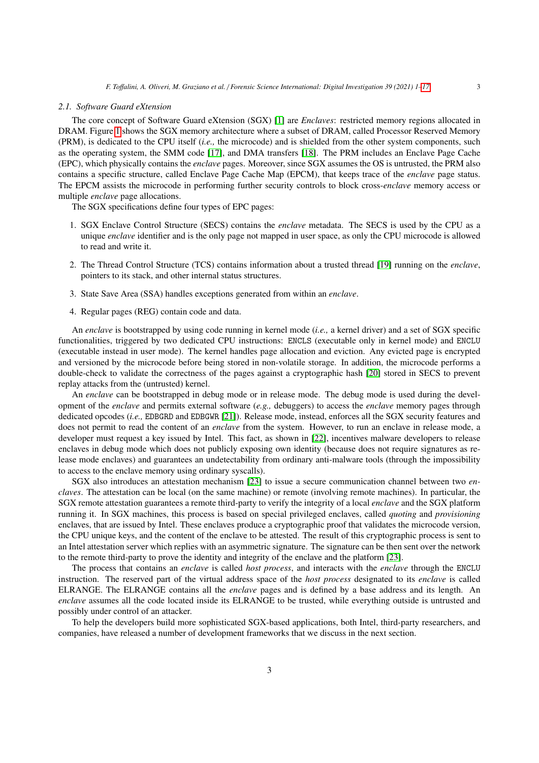#### <span id="page-2-0"></span>*2.1. Software Guard eXtension*

The core concept of Software Guard eXtension (SGX) [\[1\]](#page-14-0) are *Enclaves*: restricted memory regions allocated in DRAM. Figure [1](#page-1-0) shows the SGX memory architecture where a subset of DRAM, called Processor Reserved Memory (PRM), is dedicated to the CPU itself (*i.e.,* the microcode) and is shielded from the other system components, such as the operating system, the SMM code [\[17\]](#page-15-3), and DMA transfers [\[18\]](#page-15-4). The PRM includes an Enclave Page Cache (EPC), which physically contains the *enclave* pages. Moreover, since SGX assumes the OS is untrusted, the PRM also contains a specific structure, called Enclave Page Cache Map (EPCM), that keeps trace of the *enclave* page status. The EPCM assists the microcode in performing further security controls to block cross-*enclave* memory access or multiple *enclave* page allocations.

The SGX specifications define four types of EPC pages:

- 1. SGX Enclave Control Structure (SECS) contains the *enclave* metadata. The SECS is used by the CPU as a unique *enclave* identifier and is the only page not mapped in user space, as only the CPU microcode is allowed to read and write it.
- 2. The Thread Control Structure (TCS) contains information about a trusted thread [\[19\]](#page-15-5) running on the *enclave*, pointers to its stack, and other internal status structures.
- 3. State Save Area (SSA) handles exceptions generated from within an *enclave*.
- 4. Regular pages (REG) contain code and data.

An *enclave* is bootstrapped by using code running in kernel mode (*i.e.,* a kernel driver) and a set of SGX specific functionalities, triggered by two dedicated CPU instructions: ENCLS (executable only in kernel mode) and ENCLU (executable instead in user mode). The kernel handles page allocation and eviction. Any evicted page is encrypted and versioned by the microcode before being stored in non-volatile storage. In addition, the microcode performs a double-check to validate the correctness of the pages against a cryptographic hash [\[20\]](#page-15-6) stored in SECS to prevent replay attacks from the (untrusted) kernel.

An *enclave* can be bootstrapped in debug mode or in release mode. The debug mode is used during the development of the *enclave* and permits external software (*e.g.,* debuggers) to access the *enclave* memory pages through dedicated opcodes (*i.e.,* EDBGRD and EDBGWR [\[21\]](#page-15-7)). Release mode, instead, enforces all the SGX security features and does not permit to read the content of an *enclave* from the system. However, to run an enclave in release mode, a developer must request a key issued by Intel. This fact, as shown in [\[22\]](#page-15-8), incentives malware developers to release enclaves in debug mode which does not publicly exposing own identity (because does not require signatures as release mode enclaves) and guarantees an undetectability from ordinary anti-malware tools (through the impossibility to access to the enclave memory using ordinary syscalls).

SGX also introduces an attestation mechanism [\[23\]](#page-15-9) to issue a secure communication channel between two *enclaves*. The attestation can be local (on the same machine) or remote (involving remote machines). In particular, the SGX remote attestation guarantees a remote third-party to verify the integrity of a local *enclave* and the SGX platform running it. In SGX machines, this process is based on special privileged enclaves, called *quoting* and *provisioning* enclaves, that are issued by Intel. These enclaves produce a cryptographic proof that validates the microcode version, the CPU unique keys, and the content of the enclave to be attested. The result of this cryptographic process is sent to an Intel attestation server which replies with an asymmetric signature. The signature can be then sent over the network to the remote third-party to prove the identity and integrity of the enclave and the platform [\[23\]](#page-15-9).

The process that contains an *enclave* is called *host process*, and interacts with the *enclave* through the ENCLU instruction. The reserved part of the virtual address space of the *host process* designated to its *enclave* is called ELRANGE. The ELRANGE contains all the *enclave* pages and is defined by a base address and its length. An *enclave* assumes all the code located inside its ELRANGE to be trusted, while everything outside is untrusted and possibly under control of an attacker.

To help the developers build more sophisticated SGX-based applications, both Intel, third-party researchers, and companies, have released a number of development frameworks that we discuss in the next section.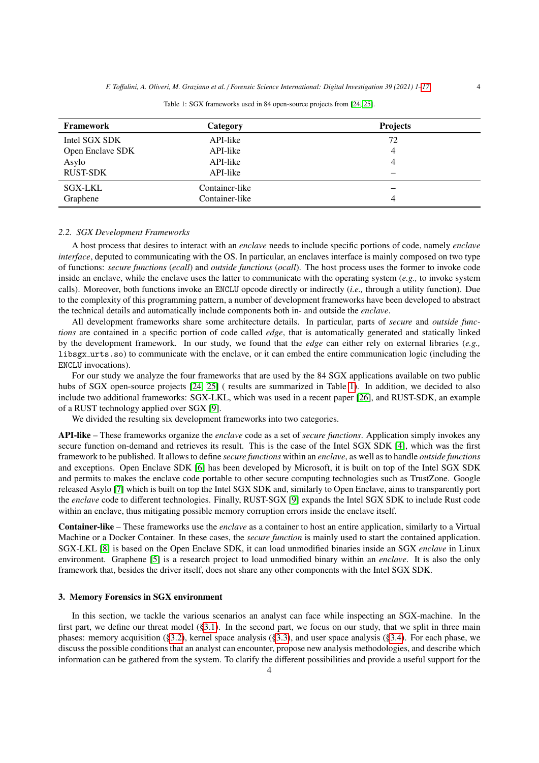<span id="page-3-2"></span>

| Framework        | <b>Category</b> | <b>Projects</b> |
|------------------|-----------------|-----------------|
| Intel SGX SDK    | API-like        | 72              |
| Open Enclave SDK | API-like        |                 |
| Asylo            | API-like        |                 |
| <b>RUST-SDK</b>  | API-like        |                 |
| SGX-LKL          | Container-like  |                 |
| Graphene         | Container-like  |                 |

Table 1: SGX frameworks used in 84 open-source projects from [\[24,](#page-15-10) [25\]](#page-15-11).

#### <span id="page-3-1"></span>*2.2. SGX Development Frameworks*

A host process that desires to interact with an *enclave* needs to include specific portions of code, namely *enclave interface*, deputed to communicating with the OS. In particular, an enclaves interface is mainly composed on two type of functions: *secure functions* (*ecall*) and *outside functions* (*ocall*). The host process uses the former to invoke code inside an enclave, while the enclave uses the latter to communicate with the operating system (*e.g.,* to invoke system calls). Moreover, both functions invoke an ENCLU opcode directly or indirectly (*i.e.,* through a utility function). Due to the complexity of this programming pattern, a number of development frameworks have been developed to abstract the technical details and automatically include components both in- and outside the *enclave*.

All development frameworks share some architecture details. In particular, parts of *secure* and *outside functions* are contained in a specific portion of code called *edge*, that is automatically generated and statically linked by the development framework. In our study, we found that the *edge* can either rely on external libraries (*e.g.,* libsgx urts.so) to communicate with the enclave, or it can embed the entire communication logic (including the ENCLU invocations).

For our study we analyze the four frameworks that are used by the 84 SGX applications available on two public hubs of SGX open-source projects [\[24,](#page-15-10) [25\]](#page-15-11) ( results are summarized in Table [1\)](#page-3-2). In addition, we decided to also include two additional frameworks: SGX-LKL, which was used in a recent paper [\[26\]](#page-15-12), and RUST-SDK, an example of a RUST technology applied over SGX [\[9\]](#page-14-8).

We divided the resulting six development frameworks into two categories.

API-like – These frameworks organize the *enclave* code as a set of *secure functions*. Application simply invokes any secure function on-demand and retrieves its result. This is the case of the Intel SGX SDK [\[4\]](#page-14-3), which was the first framework to be published. It allows to define *secure functions* within an *enclave*, as well as to handle *outside functions* and exceptions. Open Enclave SDK [\[6\]](#page-14-5) has been developed by Microsoft, it is built on top of the Intel SGX SDK and permits to makes the enclave code portable to other secure computing technologies such as TrustZone. Google released Asylo [\[7\]](#page-14-6) which is built on top the Intel SGX SDK and, similarly to Open Enclave, aims to transparently port the *enclave* code to different technologies. Finally, RUST-SGX [\[9\]](#page-14-8) expands the Intel SGX SDK to include Rust code within an enclave, thus mitigating possible memory corruption errors inside the enclave itself.

Container-like – These frameworks use the *enclave* as a container to host an entire application, similarly to a Virtual Machine or a Docker Container. In these cases, the *secure function* is mainly used to start the contained application. SGX-LKL [\[8\]](#page-14-7) is based on the Open Enclave SDK, it can load unmodified binaries inside an SGX *enclave* in Linux environment. Graphene [\[5\]](#page-14-4) is a research project to load unmodified binary within an *enclave*. It is also the only framework that, besides the driver itself, does not share any other components with the Intel SGX SDK.

#### <span id="page-3-0"></span>3. Memory Forensics in SGX environment

In this section, we tackle the various scenarios an analyst can face while inspecting an SGX-machine. In the first part, we define our threat model ([§3.1\)](#page-5-0). In the second part, we focus on our study, that we split in three main phases: memory acquisition ([§3.2\)](#page-5-1), kernel space analysis ([§3.3\)](#page-6-0), and user space analysis ([§3.4\)](#page-7-0). For each phase, we discuss the possible conditions that an analyst can encounter, propose new analysis methodologies, and describe which information can be gathered from the system. To clarify the different possibilities and provide a useful support for the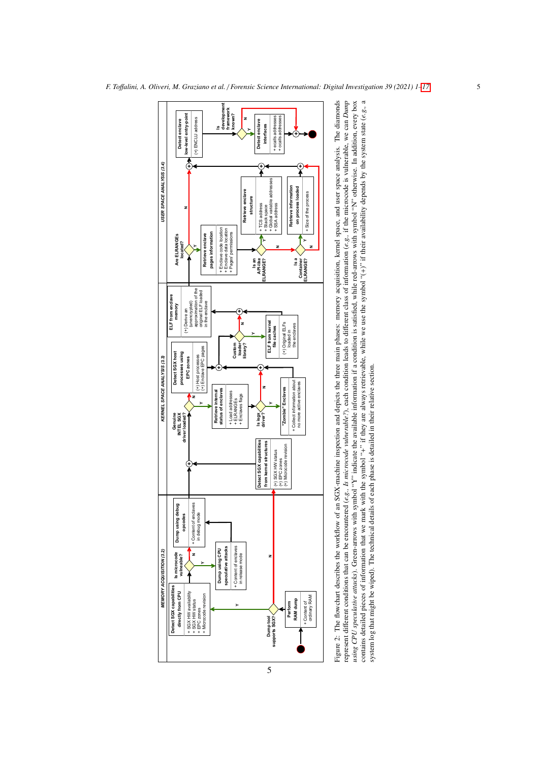<span id="page-4-0"></span>

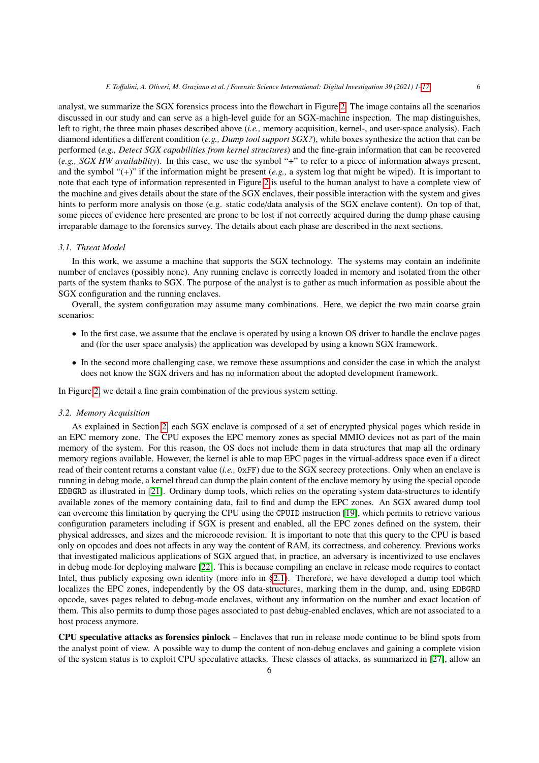analyst, we summarize the SGX forensics process into the flowchart in Figure [2.](#page-4-0) The image contains all the scenarios discussed in our study and can serve as a high-level guide for an SGX-machine inspection. The map distinguishes, left to right, the three main phases described above (*i.e.,* memory acquisition, kernel-, and user-space analysis). Each diamond identifies a different condition (*e.g., Dump tool support SGX?*), while boxes synthesize the action that can be performed (*e.g., Detect SGX capabilities from kernel structures*) and the fine-grain information that can be recovered (*e.g., SGX HW availability*). In this case, we use the symbol "+" to refer to a piece of information always present, and the symbol "(+)" if the information might be present (*e.g.,* a system log that might be wiped). It is important to note that each type of information represented in Figure [2](#page-4-0) is useful to the human analyst to have a complete view of the machine and gives details about the state of the SGX enclaves, their possible interaction with the system and gives hints to perform more analysis on those (e.g. static code/data analysis of the SGX enclave content). On top of that, some pieces of evidence here presented are prone to be lost if not correctly acquired during the dump phase causing irreparable damage to the forensics survey. The details about each phase are described in the next sections.

# <span id="page-5-0"></span>*3.1. Threat Model*

In this work, we assume a machine that supports the SGX technology. The systems may contain an indefinite number of enclaves (possibly none). Any running enclave is correctly loaded in memory and isolated from the other parts of the system thanks to SGX. The purpose of the analyst is to gather as much information as possible about the SGX configuration and the running enclaves.

Overall, the system configuration may assume many combinations. Here, we depict the two main coarse grain scenarios:

- In the first case, we assume that the enclave is operated by using a known OS driver to handle the enclave pages and (for the user space analysis) the application was developed by using a known SGX framework.
- In the second more challenging case, we remove these assumptions and consider the case in which the analyst does not know the SGX drivers and has no information about the adopted development framework.

In Figure [2,](#page-4-0) we detail a fine grain combination of the previous system setting.

#### <span id="page-5-1"></span>*3.2. Memory Acquisition*

As explained in Section [2,](#page-1-1) each SGX enclave is composed of a set of encrypted physical pages which reside in an EPC memory zone. The CPU exposes the EPC memory zones as special MMIO devices not as part of the main memory of the system. For this reason, the OS does not include them in data structures that map all the ordinary memory regions available. However, the kernel is able to map EPC pages in the virtual-address space even if a direct read of their content returns a constant value (*i.e.,* 0xFF) due to the SGX secrecy protections. Only when an enclave is running in debug mode, a kernel thread can dump the plain content of the enclave memory by using the special opcode EDBGRD as illustrated in [\[21\]](#page-15-7). Ordinary dump tools, which relies on the operating system data-structures to identify available zones of the memory containing data, fail to find and dump the EPC zones. An SGX awared dump tool can overcome this limitation by querying the CPU using the CPUID instruction [\[19\]](#page-15-5), which permits to retrieve various configuration parameters including if SGX is present and enabled, all the EPC zones defined on the system, their physical addresses, and sizes and the microcode revision. It is important to note that this query to the CPU is based only on opcodes and does not affects in any way the content of RAM, its correctness, and coherency. Previous works that investigated malicious applications of SGX argued that, in practice, an adversary is incentivized to use enclaves in debug mode for deploying malware [\[22\]](#page-15-8). This is because compiling an enclave in release mode requires to contact Intel, thus publicly exposing own identity (more info in [§2.1\)](#page-2-0). Therefore, we have developed a dump tool which localizes the EPC zones, independently by the OS data-structures, marking them in the dump, and, using EDBGRD opcode, saves pages related to debug-mode enclaves, without any information on the number and exact location of them. This also permits to dump those pages associated to past debug-enabled enclaves, which are not associated to a host process anymore.

CPU speculative attacks as forensics pinlock – Enclaves that run in release mode continue to be blind spots from the analyst point of view. A possible way to dump the content of non-debug enclaves and gaining a complete vision of the system status is to exploit CPU speculative attacks. These classes of attacks, as summarized in [\[27\]](#page-15-13), allow an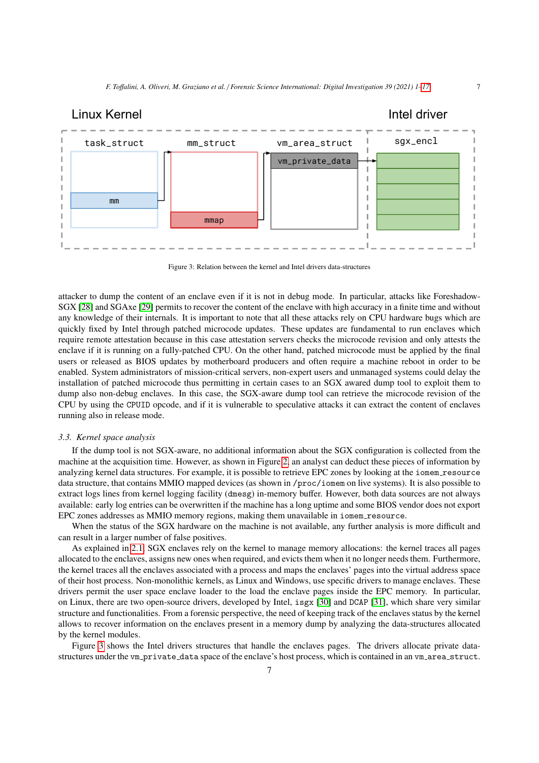<span id="page-6-1"></span>

Figure 3: Relation between the kernel and Intel drivers data-structures

attacker to dump the content of an enclave even if it is not in debug mode. In particular, attacks like Foreshadow-SGX [\[28\]](#page-15-14) and SGAxe [\[29\]](#page-15-15) permits to recover the content of the enclave with high accuracy in a finite time and without any knowledge of their internals. It is important to note that all these attacks rely on CPU hardware bugs which are quickly fixed by Intel through patched microcode updates. These updates are fundamental to run enclaves which require remote attestation because in this case attestation servers checks the microcode revision and only attests the enclave if it is running on a fully-patched CPU. On the other hand, patched microcode must be applied by the final users or released as BIOS updates by motherboard producers and often require a machine reboot in order to be enabled. System administrators of mission-critical servers, non-expert users and unmanaged systems could delay the installation of patched microcode thus permitting in certain cases to an SGX awared dump tool to exploit them to dump also non-debug enclaves. In this case, the SGX-aware dump tool can retrieve the microcode revision of the CPU by using the CPUID opcode, and if it is vulnerable to speculative attacks it can extract the content of enclaves running also in release mode.

#### <span id="page-6-0"></span>*3.3. Kernel space analysis*

If the dump tool is not SGX-aware, no additional information about the SGX configuration is collected from the machine at the acquisition time. However, as shown in Figure [2,](#page-4-0) an analyst can deduct these pieces of information by analyzing kernel data structures. For example, it is possible to retrieve EPC zones by looking at the iomem resource data structure, that contains MMIO mapped devices (as shown in /proc/iomem on live systems). It is also possible to extract logs lines from kernel logging facility (dmesg) in-memory buffer. However, both data sources are not always available: early log entries can be overwritten if the machine has a long uptime and some BIOS vendor does not export EPC zones addresses as MMIO memory regions, making them unavailable in iomem resource.

When the status of the SGX hardware on the machine is not available, any further analysis is more difficult and can result in a larger number of false positives.

As explained in [2.1,](#page-2-0) SGX enclaves rely on the kernel to manage memory allocations: the kernel traces all pages allocated to the enclaves, assigns new ones when required, and evicts them when it no longer needs them. Furthermore, the kernel traces all the enclaves associated with a process and maps the enclaves' pages into the virtual address space of their host process. Non-monolithic kernels, as Linux and Windows, use specific drivers to manage enclaves. These drivers permit the user space enclave loader to the load the enclave pages inside the EPC memory. In particular, on Linux, there are two open-source drivers, developed by Intel, isgx [\[30\]](#page-15-16) and DCAP [\[31\]](#page-15-17), which share very similar structure and functionalities. From a forensic perspective, the need of keeping track of the enclaves status by the kernel allows to recover information on the enclaves present in a memory dump by analyzing the data-structures allocated by the kernel modules.

Figure [3](#page-6-1) shows the Intel drivers structures that handle the enclaves pages. The drivers allocate private datastructures under the vm\_private\_data space of the enclave's host process, which is contained in an vm\_area\_struct.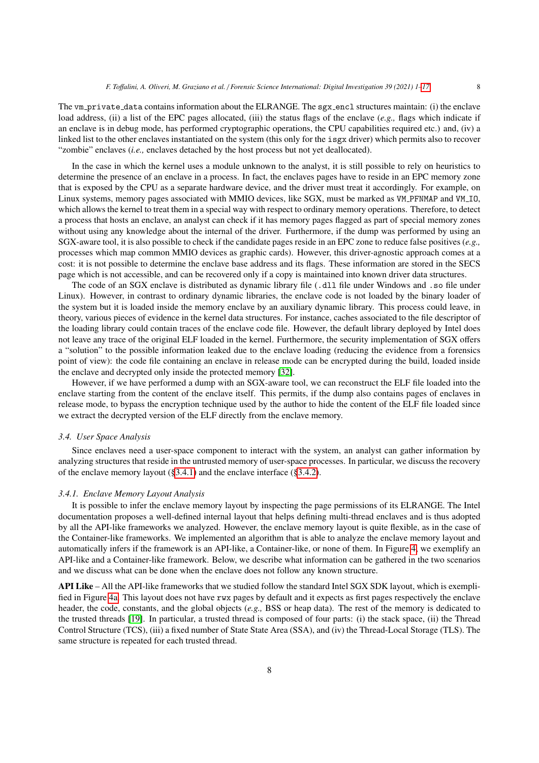The vm private data contains information about the ELRANGE. The sgx encl structures maintain: (i) the enclave load address, (ii) a list of the EPC pages allocated, (iii) the status flags of the enclave (*e.g.,* flags which indicate if an enclave is in debug mode, has performed cryptographic operations, the CPU capabilities required etc.) and, (iv) a linked list to the other enclaves instantiated on the system (this only for the isgx driver) which permits also to recover "zombie" enclaves (*i.e.,* enclaves detached by the host process but not yet deallocated).

In the case in which the kernel uses a module unknown to the analyst, it is still possible to rely on heuristics to determine the presence of an enclave in a process. In fact, the enclaves pages have to reside in an EPC memory zone that is exposed by the CPU as a separate hardware device, and the driver must treat it accordingly. For example, on Linux systems, memory pages associated with MMIO devices, like SGX, must be marked as VM\_PFNMAP and VM\_IO, which allows the kernel to treat them in a special way with respect to ordinary memory operations. Therefore, to detect a process that hosts an enclave, an analyst can check if it has memory pages flagged as part of special memory zones without using any knowledge about the internal of the driver. Furthermore, if the dump was performed by using an SGX-aware tool, it is also possible to check if the candidate pages reside in an EPC zone to reduce false positives (*e.g.,* processes which map common MMIO devices as graphic cards). However, this driver-agnostic approach comes at a cost: it is not possible to determine the enclave base address and its flags. These information are stored in the SECS page which is not accessible, and can be recovered only if a copy is maintained into known driver data structures.

The code of an SGX enclave is distributed as dynamic library file (.dll file under Windows and .so file under Linux). However, in contrast to ordinary dynamic libraries, the enclave code is not loaded by the binary loader of the system but it is loaded inside the memory enclave by an auxiliary dynamic library. This process could leave, in theory, various pieces of evidence in the kernel data structures. For instance, caches associated to the file descriptor of the loading library could contain traces of the enclave code file. However, the default library deployed by Intel does not leave any trace of the original ELF loaded in the kernel. Furthermore, the security implementation of SGX offers a "solution" to the possible information leaked due to the enclave loading (reducing the evidence from a forensics point of view): the code file containing an enclave in release mode can be encrypted during the build, loaded inside the enclave and decrypted only inside the protected memory [\[32\]](#page-15-18).

However, if we have performed a dump with an SGX-aware tool, we can reconstruct the ELF file loaded into the enclave starting from the content of the enclave itself. This permits, if the dump also contains pages of enclaves in release mode, to bypass the encryption technique used by the author to hide the content of the ELF file loaded since we extract the decrypted version of the ELF directly from the enclave memory.

#### <span id="page-7-0"></span>*3.4. User Space Analysis*

Since enclaves need a user-space component to interact with the system, an analyst can gather information by analyzing structures that reside in the untrusted memory of user-space processes. In particular, we discuss the recovery of the enclave memory layout  $(\S 3.4.1)$  and the enclave interface  $(\S 3.4.2)$ .

# <span id="page-7-1"></span>*3.4.1. Enclave Memory Layout Analysis*

It is possible to infer the enclave memory layout by inspecting the page permissions of its ELRANGE. The Intel documentation proposes a well-defined internal layout that helps defining multi-thread enclaves and is thus adopted by all the API-like frameworks we analyzed. However, the enclave memory layout is quite flexible, as in the case of the Container-like frameworks. We implemented an algorithm that is able to analyze the enclave memory layout and automatically infers if the framework is an API-like, a Container-like, or none of them. In Figure [4,](#page-8-1) we exemplify an API-like and a Container-like framework. Below, we describe what information can be gathered in the two scenarios and we discuss what can be done when the enclave does not follow any known structure.

API Like – All the API-like frameworks that we studied follow the standard Intel SGX SDK layout, which is exemplified in Figure [4a.](#page-8-1) This layout does not have rwx pages by default and it expects as first pages respectively the enclave header, the code, constants, and the global objects (*e.g.,* BSS or heap data). The rest of the memory is dedicated to the trusted threads [\[19\]](#page-15-5). In particular, a trusted thread is composed of four parts: (i) the stack space, (ii) the Thread Control Structure (TCS), (iii) a fixed number of State State Area (SSA), and (iv) the Thread-Local Storage (TLS). The same structure is repeated for each trusted thread.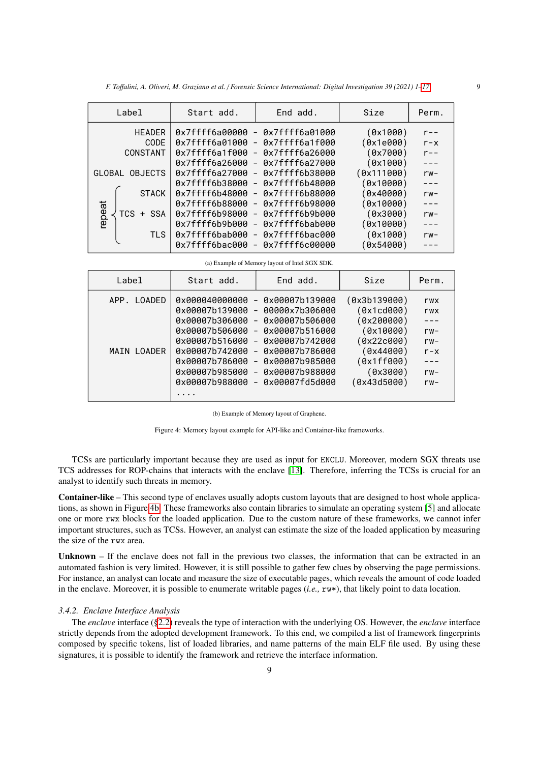| F. Toffalini, A. Oliveri, M. Graziano et al. / Forensic Science International: Digital Investigation 39 (2021) 1–17 |  |  |  |  |
|---------------------------------------------------------------------------------------------------------------------|--|--|--|--|
|---------------------------------------------------------------------------------------------------------------------|--|--|--|--|

<span id="page-8-1"></span>

| Start add.     | End add.       | Size                                                                                                                                                                                                                                                                       | Perm.   |
|----------------|----------------|----------------------------------------------------------------------------------------------------------------------------------------------------------------------------------------------------------------------------------------------------------------------------|---------|
|                |                | (0x1000)                                                                                                                                                                                                                                                                   | $r - -$ |
|                |                | (0x1e000)                                                                                                                                                                                                                                                                  | $r - x$ |
| 0x7ffff6a1f000 | 0x7ffff6a26000 | (0x7000)                                                                                                                                                                                                                                                                   | $r - -$ |
| 0x7ffff6a26000 |                | (0x1000)                                                                                                                                                                                                                                                                   | $- - -$ |
| 0x7ffff6a27000 |                | (0x111000)                                                                                                                                                                                                                                                                 | $rw-$   |
| 0x7ffff6b38000 |                | (0x10000)                                                                                                                                                                                                                                                                  | $- - -$ |
| 0x7ffff6b48000 |                | Ox40000                                                                                                                                                                                                                                                                    | $rw-$   |
| 0x7ffff6b88000 |                | (0x10000)                                                                                                                                                                                                                                                                  | $- - -$ |
| 0x7ffff6b98000 |                | (0x3000)                                                                                                                                                                                                                                                                   | $rw-$   |
| 0x7ffff6b9b000 |                | (0x10000)                                                                                                                                                                                                                                                                  | $- - -$ |
| 0x7ffff6bab000 |                | (0x1000)                                                                                                                                                                                                                                                                   | $rw-$   |
| 0x7ffff6bac000 |                | 0x54000)                                                                                                                                                                                                                                                                   |         |
|                |                | 0x7ffff6a00000 - 0x7ffff6a01000<br>0x7ffff6a01000 - 0x7ffff6a1f000<br>$\blacksquare$<br>$-$ 0x7ffff6a27000<br>- 0x7ffff6b38000<br>- 0x7ffff6b48000<br>- 0x7ffff6b88000<br>- 0x7ffff6b98000<br>- 0x7ffff6b9b000<br>- 0x7ffff6bab000<br>- 0x7ffff6bac000<br>- 0x7ffff6c00000 |         |

(a) Example of Memory layout of Intel SGX SDK.

| Label                      | Start add.                                                                                                                                                     | End add.                                                                                                                                                                                                                                                                                                                                                                                   | Size                                                                                                                      | Perm.                                                                |
|----------------------------|----------------------------------------------------------------------------------------------------------------------------------------------------------------|--------------------------------------------------------------------------------------------------------------------------------------------------------------------------------------------------------------------------------------------------------------------------------------------------------------------------------------------------------------------------------------------|---------------------------------------------------------------------------------------------------------------------------|----------------------------------------------------------------------|
| APP. LOADED<br>MATN LOADER | 0x000040000000<br>0x00007b139000<br>0x00007b306000<br>0x00007b506000<br>0x00007b516000<br>0x00007b742000<br>0x00007b786000<br>0x00007b985000<br>0x00007b988000 | 0x00007b139000<br>$\overline{\phantom{0}}$<br>00000x7b306000<br>$\overline{\phantom{a}}$<br>0x00007b506000<br>$\overline{\phantom{a}}$<br>0x00007b516000<br>$\overline{\phantom{a}}$<br>0x00007b742000<br>$\overline{\phantom{a}}$<br>0x00007b786000<br>$\overline{\phantom{a}}$<br>0x00007b985000<br>$\equiv$<br>0x00007b988000<br>$\overline{\phantom{a}}$<br>0x00007fd5d000<br>$\equiv$ | (0x3b139000)<br>(0x1cd000)<br>(0x200000)<br>(0x10000)<br>(0x22c000)<br>(0x44000)<br>(0x1ff000)<br>(0x3000)<br>(0x43d5000) | rwx<br>rwx<br>$- - -$<br>$rw-$<br>$rw-$<br>$r - x$<br>$rw-$<br>$rw-$ |
|                            |                                                                                                                                                                |                                                                                                                                                                                                                                                                                                                                                                                            |                                                                                                                           |                                                                      |

(b) Example of Memory layout of Graphene.

Figure 4: Memory layout example for API-like and Container-like frameworks.

TCSs are particularly important because they are used as input for ENCLU. Moreover, modern SGX threats use TCS addresses for ROP-chains that interacts with the enclave [\[13\]](#page-14-12). Therefore, inferring the TCSs is crucial for an analyst to identify such threats in memory.

Container-like – This second type of enclaves usually adopts custom layouts that are designed to host whole applications, as shown in Figure [4b.](#page-8-1) These frameworks also contain libraries to simulate an operating system [\[5\]](#page-14-4) and allocate one or more rwx blocks for the loaded application. Due to the custom nature of these frameworks, we cannot infer important structures, such as TCSs. However, an analyst can estimate the size of the loaded application by measuring the size of the rwx area.

Unknown – If the enclave does not fall in the previous two classes, the information that can be extracted in an automated fashion is very limited. However, it is still possible to gather few clues by observing the page permissions. For instance, an analyst can locate and measure the size of executable pages, which reveals the amount of code loaded in the enclave. Moreover, it is possible to enumerate writable pages (*i.e.,* rw\*), that likely point to data location.

### <span id="page-8-0"></span>*3.4.2. Enclave Interface Analysis*

The *enclave* interface ([§2.2\)](#page-3-1) reveals the type of interaction with the underlying OS. However, the *enclave* interface strictly depends from the adopted development framework. To this end, we compiled a list of framework fingerprints composed by specific tokens, list of loaded libraries, and name patterns of the main ELF file used. By using these signatures, it is possible to identify the framework and retrieve the interface information.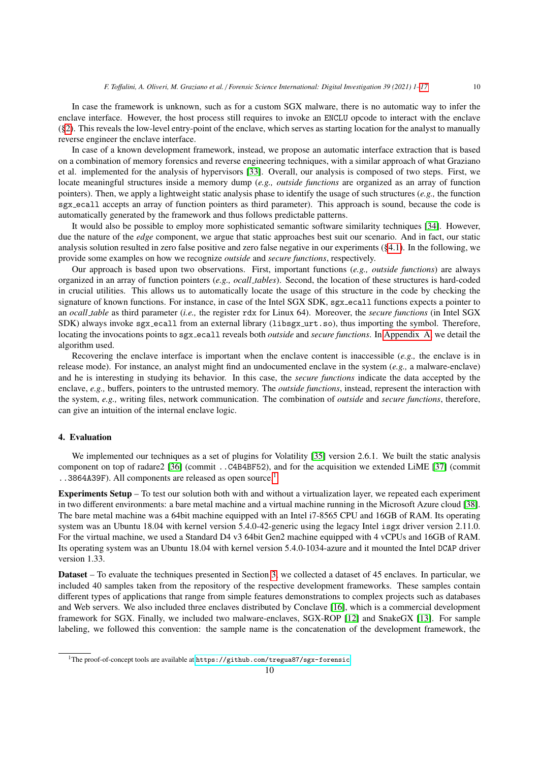In case the framework is unknown, such as for a custom SGX malware, there is no automatic way to infer the enclave interface. However, the host process still requires to invoke an ENCLU opcode to interact with the enclave ([§2\)](#page-1-1). This reveals the low-level entry-point of the enclave, which serves as starting location for the analyst to manually reverse engineer the enclave interface.

In case of a known development framework, instead, we propose an automatic interface extraction that is based on a combination of memory forensics and reverse engineering techniques, with a similar approach of what Graziano et al. implemented for the analysis of hypervisors [\[33\]](#page-15-19). Overall, our analysis is composed of two steps. First, we locate meaningful structures inside a memory dump (*e.g., outside functions* are organized as an array of function pointers). Then, we apply a lightweight static analysis phase to identify the usage of such structures (*e.g.,* the function sgx ecall accepts an array of function pointers as third parameter). This approach is sound, because the code is automatically generated by the framework and thus follows predictable patterns.

It would also be possible to employ more sophisticated semantic software similarity techniques [\[34\]](#page-15-20). However, due the nature of the *edge* component, we argue that static approaches best suit our scenario. And in fact, our static analysis solution resulted in zero false positive and zero false negative in our experiments ([§4.1\)](#page-10-0). In the following, we provide some examples on how we recognize *outside* and *secure functions*, respectively.

Our approach is based upon two observations. First, important functions (*e.g., outside functions*) are always organized in an array of function pointers (*e.g., ocall tables*). Second, the location of these structures is hard-coded in crucial utilities. This allows us to automatically locate the usage of this structure in the code by checking the signature of known functions. For instance, in case of the Intel SGX SDK, sgx ecall functions expects a pointer to an *ocall table* as third parameter (*i.e.,* the register rdx for Linux 64). Moreover, the *secure functions* (in Intel SGX SDK) always invoke sgx\_ecall from an external library (libsgx\_urt.so), thus importing the symbol. Therefore, locating the invocations points to sgx ecall reveals both *outside* and *secure functions*. In [Appendix A,](#page-16-0) we detail the algorithm used.

Recovering the enclave interface is important when the enclave content is inaccessible (*e.g.,* the enclave is in release mode). For instance, an analyst might find an undocumented enclave in the system (*e.g.,* a malware-enclave) and he is interesting in studying its behavior. In this case, the *secure functions* indicate the data accepted by the enclave, *e.g.,* buffers, pointers to the untrusted memory. The *outside functions*, instead, represent the interaction with the system, *e.g.,* writing files, network communication. The combination of *outside* and *secure functions*, therefore, can give an intuition of the internal enclave logic.

### <span id="page-9-0"></span>4. Evaluation

We implemented our techniques as a set of plugins for Volatility [\[35\]](#page-15-21) version 2.6.1. We built the static analysis component on top of radare2 [\[36\]](#page-15-22) (commit ..C4B4BF52), and for the acquisition we extended LiME [\[37\]](#page-15-23) (commit ..3864A39F). All components are released as open source.<sup>[1](#page-9-1)</sup>

Experiments Setup – To test our solution both with and without a virtualization layer, we repeated each experiment in two different environments: a bare metal machine and a virtual machine running in the Microsoft Azure cloud [\[38\]](#page-15-24). The bare metal machine was a 64bit machine equipped with an Intel i7-8565 CPU and 16GB of RAM. Its operating system was an Ubuntu 18.04 with kernel version 5.4.0-42-generic using the legacy Intel isgx driver version 2.11.0. For the virtual machine, we used a Standard D4 v3 64bit Gen2 machine equipped with 4 vCPUs and 16GB of RAM. Its operating system was an Ubuntu 18.04 with kernel version 5.4.0-1034-azure and it mounted the Intel DCAP driver version 1.33.

Dataset – To evaluate the techniques presented in Section [3,](#page-3-0) we collected a dataset of 45 enclaves. In particular, we included 40 samples taken from the repository of the respective development frameworks. These samples contain different types of applications that range from simple features demonstrations to complex projects such as databases and Web servers. We also included three enclaves distributed by Conclave [\[16\]](#page-15-2), which is a commercial development framework for SGX. Finally, we included two malware-enclaves, SGX-ROP [\[12\]](#page-14-11) and SnakeGX [\[13\]](#page-14-12). For sample labeling, we followed this convention: the sample name is the concatenation of the development framework, the

<span id="page-9-1"></span><sup>&</sup>lt;sup>1</sup>The proof-of-concept tools are available at <https://github.com/tregua87/sgx-forensic>.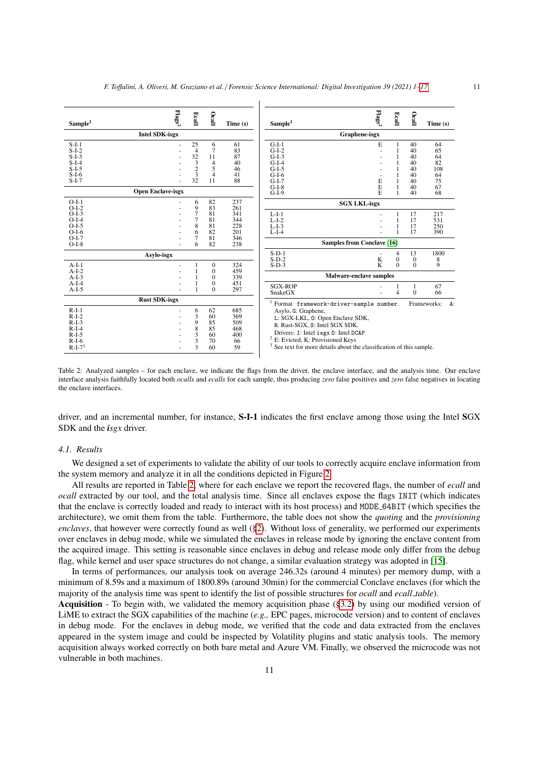<span id="page-10-1"></span>

Table 2: Analyzed samples – for each enclave, we indicate the flags from the driver, the enclave interface, and the analysis time. Our enclave interface analysis faithfully located both *ocalls* and *ecalls* for each sample, thus producing *zero* false positives and *zero* false negatives in locating the enclave interfaces.

driver, and an incremental number, for instance, S-I-1 indicates the first enclave among those using the Intel SGX SDK and the *isgx* driver.

# <span id="page-10-0"></span>*4.1. Results*

We designed a set of experiments to validate the ability of our tools to correctly acquire enclave information from the system memory and analyze it in all the conditions depicted in Figure [2.](#page-4-0)

All results are reported in Table [2,](#page-10-1) where for each enclave we report the recovered flags, the number of *ecall* and *ocall* extracted by our tool, and the total analysis time. Since all enclaves expose the flags INIT (which indicates that the enclave is correctly loaded and ready to interact with its host process) and MODE 64BIT (which specifies the architecture), we omit them from the table. Furthermore, the table does not show the *quoting* and the *provisioning enclaves*, that however were correctly found as well ([§2\)](#page-1-1). Without loss of generality, we performed our experiments over enclaves in debug mode, while we simulated the enclaves in release mode by ignoring the enclave content from the acquired image. This setting is reasonable since enclaves in debug and release mode only differ from the debug flag, while kernel and user space structures do not change, a similar evaluation strategy was adopted in [\[15\]](#page-15-1).

In terms of performances, our analysis took on average 246.32s (around 4 minutes) per memory dump, with a minimum of 8.59s and a maximum of 1800.89s (around 30min) for the commercial Conclave enclaves (for which the majority of the analysis time was spent to identify the list of possible structures for *ocall* and *ecall table*).

Acquisition - To begin with, we validated the memory acquisition phase ([§3.2\)](#page-5-1) by using our modified version of LiME to extract the SGX capabilities of the machine (*e.g.,* EPC pages, microcode version) and to content of enclaves in debug mode. For the enclaves in debug mode, we verified that the code and data extracted from the enclaves appeared in the system image and could be inspected by Volatility plugins and static analysis tools. The memory acquisition always worked correctly on both bare metal and Azure VM. Finally, we observed the microcode was not vulnerable in both machines.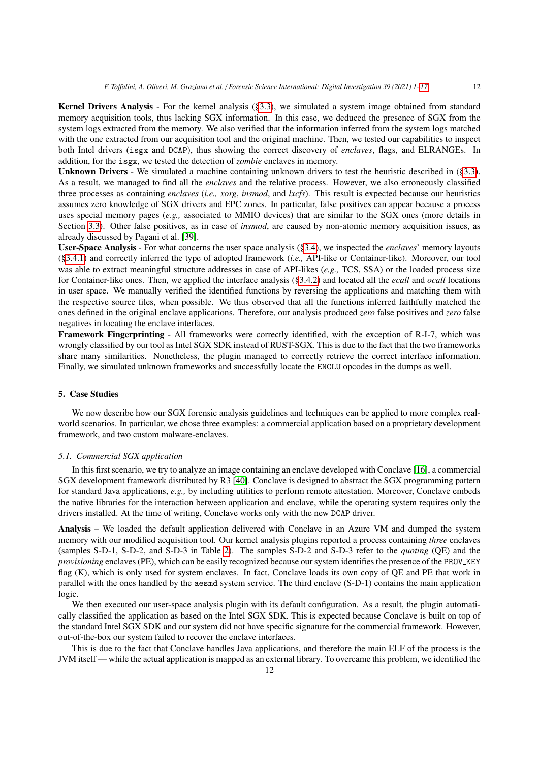Kernel Drivers Analysis - For the kernel analysis ([§3.3\)](#page-6-0), we simulated a system image obtained from standard memory acquisition tools, thus lacking SGX information. In this case, we deduced the presence of SGX from the system logs extracted from the memory. We also verified that the information inferred from the system logs matched with the one extracted from our acquisition tool and the original machine. Then, we tested our capabilities to inspect both Intel drivers (isgx and DCAP), thus showing the correct discovery of *enclaves*, flags, and ELRANGEs. In addition, for the isgx, we tested the detection of *zombie* enclaves in memory.

Unknown Drivers - We simulated a machine containing unknown drivers to test the heuristic described in ([§3.3\)](#page-6-0). As a result, we managed to find all the *enclaves* and the relative process. However, we also erroneously classified three processes as containing *enclaves* (*i.e., xorg*, *insmod*, and *lxcfs*). This result is expected because our heuristics assumes zero knowledge of SGX drivers and EPC zones. In particular, false positives can appear because a process uses special memory pages (*e.g.,* associated to MMIO devices) that are similar to the SGX ones (more details in Section [3.3\)](#page-6-0). Other false positives, as in case of *insmod*, are caused by non-atomic memory acquisition issues, as already discussed by Pagani et al. [\[39\]](#page-15-25).

User-Space Analysis - For what concerns the user space analysis ([§3.4\)](#page-7-0), we inspected the *enclaves*' memory layouts ([§3.4.1\)](#page-7-1) and correctly inferred the type of adopted framework (*i.e.,* API-like or Container-like). Moreover, our tool was able to extract meaningful structure addresses in case of API-likes (*e.g.,* TCS, SSA) or the loaded process size for Container-like ones. Then, we applied the interface analysis ([§3.4.2\)](#page-8-0) and located all the *ecall* and *ocall* locations in user space. We manually verified the identified functions by reversing the applications and matching them with the respective source files, when possible. We thus observed that all the functions inferred faithfully matched the ones defined in the original enclave applications. Therefore, our analysis produced *zero* false positives and *zero* false negatives in locating the enclave interfaces.

Framework Fingerprinting - All frameworks were correctly identified, with the exception of R-I-7, which was wrongly classified by our tool as Intel SGX SDK instead of RUST-SGX. This is due to the fact that the two frameworks share many similarities. Nonetheless, the plugin managed to correctly retrieve the correct interface information. Finally, we simulated unknown frameworks and successfully locate the ENCLU opcodes in the dumps as well.

#### 5. Case Studies

We now describe how our SGX forensic analysis guidelines and techniques can be applied to more complex realworld scenarios. In particular, we chose three examples: a commercial application based on a proprietary development framework, and two custom malware-enclaves.

#### *5.1. Commercial SGX application*

In this first scenario, we try to analyze an image containing an enclave developed with Conclave [\[16\]](#page-15-2), a commercial SGX development framework distributed by R3 [\[40\]](#page-15-26). Conclave is designed to abstract the SGX programming pattern for standard Java applications, *e.g.,* by including utilities to perform remote attestation. Moreover, Conclave embeds the native libraries for the interaction between application and enclave, while the operating system requires only the drivers installed. At the time of writing, Conclave works only with the new DCAP driver.

Analysis – We loaded the default application delivered with Conclave in an Azure VM and dumped the system memory with our modified acquisition tool. Our kernel analysis plugins reported a process containing *three* enclaves (samples S-D-1, S-D-2, and S-D-3 in Table [2\)](#page-10-1). The samples S-D-2 and S-D-3 refer to the *quoting* (QE) and the *provisioning* enclaves (PE), which can be easily recognized because our system identifies the presence of the PROV<sub>KEY</sub> flag (K), which is only used for system enclaves. In fact, Conclave loads its own copy of QE and PE that work in parallel with the ones handled by the aesmd system service. The third enclave (S-D-1) contains the main application logic.

We then executed our user-space analysis plugin with its default configuration. As a result, the plugin automatically classified the application as based on the Intel SGX SDK. This is expected because Conclave is built on top of the standard Intel SGX SDK and our system did not have specific signature for the commercial framework. However, out-of-the-box our system failed to recover the enclave interfaces.

This is due to the fact that Conclave handles Java applications, and therefore the main ELF of the process is the JVM itself — while the actual application is mapped as an external library. To overcame this problem, we identified the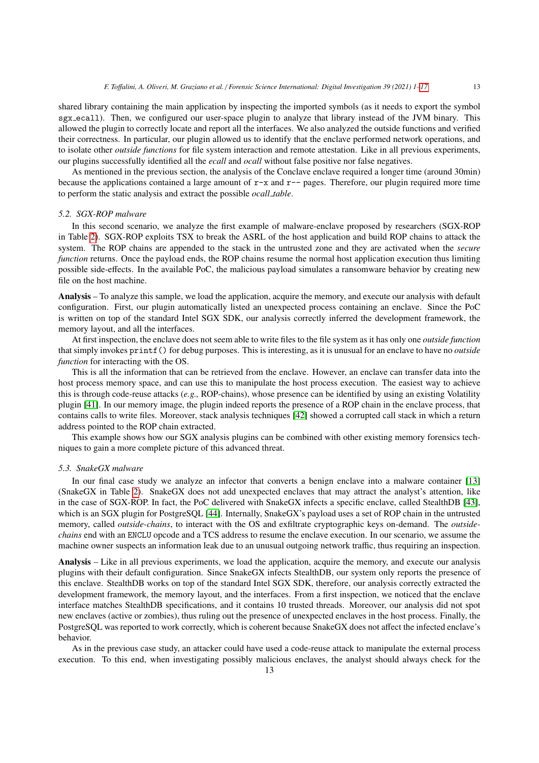shared library containing the main application by inspecting the imported symbols (as it needs to export the symbol sgx ecall). Then, we configured our user-space plugin to analyze that library instead of the JVM binary. This allowed the plugin to correctly locate and report all the interfaces. We also analyzed the outside functions and verified their correctness. In particular, our plugin allowed us to identify that the enclave performed network operations, and to isolate other *outside functions* for file system interaction and remote attestation. Like in all previous experiments,

As mentioned in the previous section, the analysis of the Conclave enclave required a longer time (around 30min) because the applications contained a large amount of  $r-x$  and  $r-y$  pages. Therefore, our plugin required more time to perform the static analysis and extract the possible *ocall table*.

our plugins successfully identified all the *ecall* and *ocall* without false positive nor false negatives.

#### <span id="page-12-0"></span>*5.2. SGX-ROP malware*

In this second scenario, we analyze the first example of malware-enclave proposed by researchers (SGX-ROP in Table [2\)](#page-10-1). SGX-ROP exploits TSX to break the ASRL of the host application and build ROP chains to attack the system. The ROP chains are appended to the stack in the untrusted zone and they are activated when the *secure function* returns. Once the payload ends, the ROP chains resume the normal host application execution thus limiting possible side-effects. In the available PoC, the malicious payload simulates a ransomware behavior by creating new file on the host machine.

Analysis – To analyze this sample, we load the application, acquire the memory, and execute our analysis with default configuration. First, our plugin automatically listed an unexpected process containing an enclave. Since the PoC is written on top of the standard Intel SGX SDK, our analysis correctly inferred the development framework, the memory layout, and all the interfaces.

At first inspection, the enclave does not seem able to write files to the file system as it has only one *outside function* that simply invokes printf() for debug purposes. This is interesting, as it is unusual for an enclave to have no *outside function* for interacting with the OS.

This is all the information that can be retrieved from the enclave. However, an enclave can transfer data into the host process memory space, and can use this to manipulate the host process execution. The easiest way to achieve this is through code-reuse attacks (*e.g.,* ROP-chains), whose presence can be identified by using an existing Volatility plugin [\[41\]](#page-15-27). In our memory image, the plugin indeed reports the presence of a ROP chain in the enclave process, that contains calls to write files. Moreover, stack analysis techniques [\[42\]](#page-15-28) showed a corrupted call stack in which a return address pointed to the ROP chain extracted.

This example shows how our SGX analysis plugins can be combined with other existing memory forensics techniques to gain a more complete picture of this advanced threat.

#### <span id="page-12-1"></span>*5.3. SnakeGX malware*

In our final case study we analyze an infector that converts a benign enclave into a malware container [\[13\]](#page-14-12) (SnakeGX in Table [2\)](#page-10-1). SnakeGX does not add unexpected enclaves that may attract the analyst's attention, like in the case of SGX-ROP. In fact, the PoC delivered with SnakeGX infects a specific enclave, called StealthDB [\[43\]](#page-15-29), which is an SGX plugin for PostgreSOL [\[44\]](#page-15-30). Internally, SnakeGX's payload uses a set of ROP chain in the untrusted memory, called *outside-chains*, to interact with the OS and exfiltrate cryptographic keys on-demand. The *outsidechains* end with an ENCLU opcode and a TCS address to resume the enclave execution. In our scenario, we assume the machine owner suspects an information leak due to an unusual outgoing network traffic, thus requiring an inspection.

Analysis – Like in all previous experiments, we load the application, acquire the memory, and execute our analysis plugins with their default configuration. Since SnakeGX infects StealthDB, our system only reports the presence of this enclave. StealthDB works on top of the standard Intel SGX SDK, therefore, our analysis correctly extracted the development framework, the memory layout, and the interfaces. From a first inspection, we noticed that the enclave interface matches StealthDB specifications, and it contains 10 trusted threads. Moreover, our analysis did not spot new enclaves (active or zombies), thus ruling out the presence of unexpected enclaves in the host process. Finally, the PostgreSQL was reported to work correctly, which is coherent because SnakeGX does not affect the infected enclave's behavior.

As in the previous case study, an attacker could have used a code-reuse attack to manipulate the external process execution. To this end, when investigating possibly malicious enclaves, the analyst should always check for the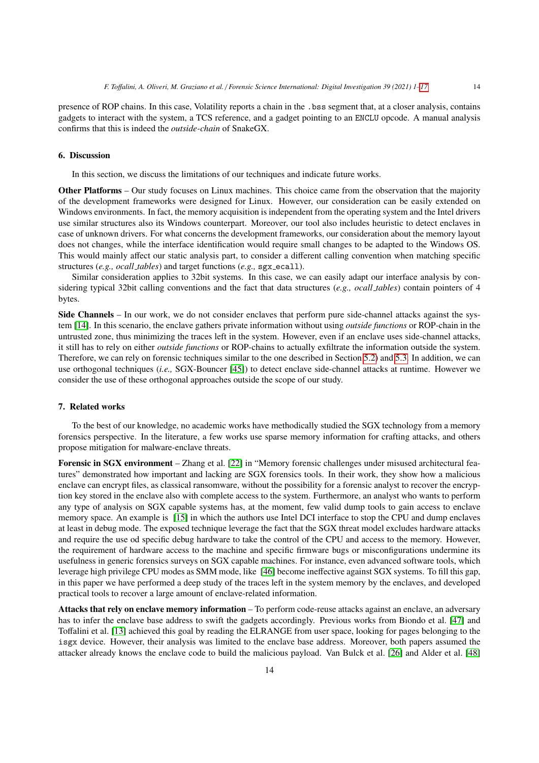presence of ROP chains. In this case, Volatility reports a chain in the .bss segment that, at a closer analysis, contains gadgets to interact with the system, a TCS reference, and a gadget pointing to an ENCLU opcode. A manual analysis confirms that this is indeed the *outside-chain* of SnakeGX.

# <span id="page-13-0"></span>6. Discussion

In this section, we discuss the limitations of our techniques and indicate future works.

Other Platforms – Our study focuses on Linux machines. This choice came from the observation that the majority of the development frameworks were designed for Linux. However, our consideration can be easily extended on Windows environments. In fact, the memory acquisition is independent from the operating system and the Intel drivers use similar structures also its Windows counterpart. Moreover, our tool also includes heuristic to detect enclaves in case of unknown drivers. For what concerns the development frameworks, our consideration about the memory layout does not changes, while the interface identification would require small changes to be adapted to the Windows OS. This would mainly affect our static analysis part, to consider a different calling convention when matching specific structures (*e.g., ocall\_tables*) and target functions (*e.g.,* sgx\_ecall).

Similar consideration applies to 32bit systems. In this case, we can easily adapt our interface analysis by considering typical 32bit calling conventions and the fact that data structures (*e.g., ocall tables*) contain pointers of 4 bytes.

Side Channels – In our work, we do not consider enclaves that perform pure side-channel attacks against the system [\[14\]](#page-15-0). In this scenario, the enclave gathers private information without using *outside functions* or ROP-chain in the untrusted zone, thus minimizing the traces left in the system. However, even if an enclave uses side-channel attacks, it still has to rely on either *outside functions* or ROP-chains to actually exfiltrate the information outside the system. Therefore, we can rely on forensic techniques similar to the one described in Section [5.2\)](#page-12-0) and [5.3.](#page-12-1) In addition, we can use orthogonal techniques (*i.e.,* SGX-Bouncer [\[45\]](#page-15-31)) to detect enclave side-channel attacks at runtime. However we consider the use of these orthogonal approaches outside the scope of our study.

## 7. Related works

To the best of our knowledge, no academic works have methodically studied the SGX technology from a memory forensics perspective. In the literature, a few works use sparse memory information for crafting attacks, and others propose mitigation for malware-enclave threats.

Forensic in SGX environment – Zhang et al. [\[22\]](#page-15-8) in "Memory forensic challenges under misused architectural features" demonstrated how important and lacking are SGX forensics tools. In their work, they show how a malicious enclave can encrypt files, as classical ransomware, without the possibility for a forensic analyst to recover the encryption key stored in the enclave also with complete access to the system. Furthermore, an analyst who wants to perform any type of analysis on SGX capable systems has, at the moment, few valid dump tools to gain access to enclave memory space. An example is [\[15\]](#page-15-1) in which the authors use Intel DCI interface to stop the CPU and dump enclaves at least in debug mode. The exposed technique leverage the fact that the SGX threat model excludes hardware attacks and require the use od specific debug hardware to take the control of the CPU and access to the memory. However, the requirement of hardware access to the machine and specific firmware bugs or misconfigurations undermine its usefulness in generic forensics surveys on SGX capable machines. For instance, even advanced software tools, which leverage high privilege CPU modes as SMM mode, like [\[46\]](#page-15-32) become ineffective against SGX systems. To fill this gap, in this paper we have performed a deep study of the traces left in the system memory by the enclaves, and developed practical tools to recover a large amount of enclave-related information.

Attacks that rely on enclave memory information – To perform code-reuse attacks against an enclave, an adversary has to infer the enclave base address to swift the gadgets accordingly. Previous works from Biondo et al. [\[47\]](#page-15-33) and Toffalini et al. [\[13\]](#page-14-12) achieved this goal by reading the ELRANGE from user space, looking for pages belonging to the isgx device. However, their analysis was limited to the enclave base address. Moreover, both papers assumed the attacker already knows the enclave code to build the malicious payload. Van Bulck et al. [\[26\]](#page-15-12) and Alder et al. [\[48\]](#page-15-34)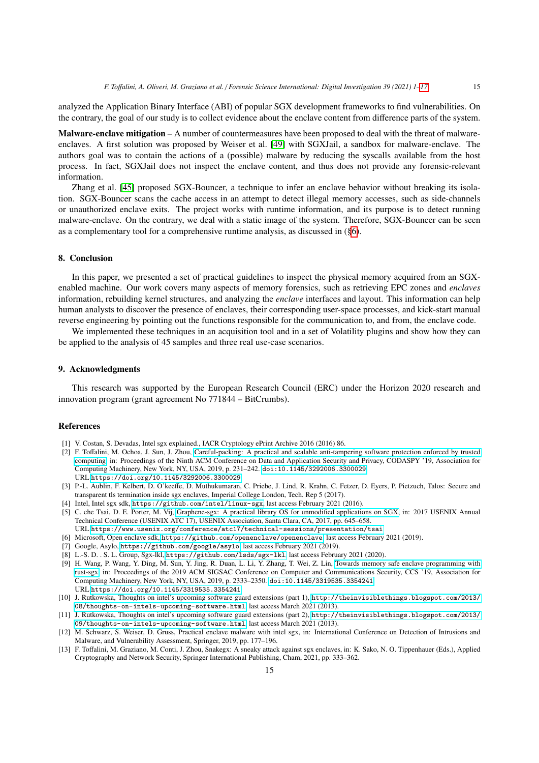analyzed the Application Binary Interface (ABI) of popular SGX development frameworks to find vulnerabilities. On the contrary, the goal of our study is to collect evidence about the enclave content from difference parts of the system.

Malware-enclave mitigation – A number of countermeasures have been proposed to deal with the threat of malwareenclaves. A first solution was proposed by Weiser et al. [\[49\]](#page-15-35) with SGXJail, a sandbox for malware-enclave. The authors goal was to contain the actions of a (possible) malware by reducing the syscalls available from the host process. In fact, SGXJail does not inspect the enclave content, and thus does not provide any forensic-relevant information.

Zhang et al. [\[45\]](#page-15-31) proposed SGX-Bouncer, a technique to infer an enclave behavior without breaking its isolation. SGX-Bouncer scans the cache access in an attempt to detect illegal memory accesses, such as side-channels or unauthorized enclave exits. The project works with runtime information, and its purpose is to detect running malware-enclave. On the contrary, we deal with a static image of the system. Therefore, SGX-Bouncer can be seen as a complementary tool for a comprehensive runtime analysis, as discussed in ([§6\)](#page-13-0).

# 8. Conclusion

In this paper, we presented a set of practical guidelines to inspect the physical memory acquired from an SGXenabled machine. Our work covers many aspects of memory forensics, such as retrieving EPC zones and *enclaves* information, rebuilding kernel structures, and analyzing the *enclave* interfaces and layout. This information can help human analysts to discover the presence of enclaves, their corresponding user-space processes, and kick-start manual reverse engineering by pointing out the functions responsible for the communication to, and from, the enclave code.

We implemented these techniques in an acquisition tool and in a set of Volatility plugins and show how they can be applied to the analysis of 45 samples and three real use-case scenarios.

# 9. Acknowledgments

This research was supported by the European Research Council (ERC) under the Horizon 2020 research and innovation program (grant agreement No 771844 – BitCrumbs).

#### References

- <span id="page-14-0"></span>[1] V. Costan, S. Devadas, Intel sgx explained., IACR Cryptology ePrint Archive 2016 (2016) 86.
- <span id="page-14-1"></span>[2] F. Toffalini, M. Ochoa, J. Sun, J. Zhou, [Careful-packing: A practical and scalable anti-tampering software protection enforced by trusted](https://doi.org/10.1145/3292006.3300029) [computing,](https://doi.org/10.1145/3292006.3300029) in: Proceedings of the Ninth ACM Conference on Data and Application Security and Privacy, CODASPY '19, Association for Computing Machinery, New York, NY, USA, 2019, p. 231–242. [doi:10.1145/3292006.3300029](http://dx.doi.org/10.1145/3292006.3300029). URL <https://doi.org/10.1145/3292006.3300029>
- <span id="page-14-2"></span>[3] P.-L. Aublin, F. Kelbert, D. O'keeffe, D. Muthukumaran, C. Priebe, J. Lind, R. Krahn, C. Fetzer, D. Eyers, P. Pietzuch, Talos: Secure and transparent tls termination inside sgx enclaves, Imperial College London, Tech. Rep 5 (2017).
- <span id="page-14-3"></span>[4] Intel, Intel sgx sdk, <https://github.com/intel/linux-sgx>, last access February 2021 (2016).
- <span id="page-14-4"></span>[5] C. che Tsai, D. E. Porter, M. Vij, [Graphene-sgx: A practical library OS for unmodified applications on SGX,](https://www.usenix.org/conference/atc17/technical-sessions/presentation/tsai) in: 2017 USENIX Annual Technical Conference (USENIX ATC 17), USENIX Association, Santa Clara, CA, 2017, pp. 645–658.
- URL <https://www.usenix.org/conference/atc17/technical-sessions/presentation/tsai>
- <span id="page-14-5"></span>[6] Microsoft, Open enclave sdk, <https://github.com/openenclave/openenclave>, last access February 2021 (2019).
- <span id="page-14-7"></span><span id="page-14-6"></span>[7] Google, Asylo, <https://github.com/google/asylo>, last access February 2021 (2019). [8] L.-S. D. . S. L. Group, Sgx-lkl, <https://github.com/lsds/sgx-lkl>, last access February 2021 (2020).
- <span id="page-14-8"></span>[9] H. Wang, P. Wang, Y. Ding, M. Sun, Y. Jing, R. Duan, L. Li, Y. Zhang, T. Wei, Z. Lin, [Towards memory safe enclave programming with](https://doi.org/10.1145/3319535.3354241) [rust-sgx,](https://doi.org/10.1145/3319535.3354241) in: Proceedings of the 2019 ACM SIGSAC Conference on Computer and Communications Security, CCS '19, Association for Computing Machinery, New York, NY, USA, 2019, p. 2333–2350. [doi:10.1145/3319535.3354241](http://dx.doi.org/10.1145/3319535.3354241). URL <https://doi.org/10.1145/3319535.3354241>
- <span id="page-14-9"></span>[10] J. Rutkowska, Thoughts on intel's upcoming software guard extensions (part 1), [http://theinvisiblethings.blogspot.com/2013/](http://theinvisiblethings.blogspot.com/2013/08/thoughts-on-intels-upcoming-software.html) [08/thoughts-on-intels-upcoming-software.html](http://theinvisiblethings.blogspot.com/2013/08/thoughts-on-intels-upcoming-software.html), last access March 2021 (2013).
- <span id="page-14-10"></span>[11] J. Rutkowska, Thoughts on intel's upcoming software guard extensions (part 2), [http://theinvisiblethings.blogspot.com/2013/](http://theinvisiblethings.blogspot.com/2013/09/thoughts-on-intels-upcoming-software.html) [09/thoughts-on-intels-upcoming-software.html](http://theinvisiblethings.blogspot.com/2013/09/thoughts-on-intels-upcoming-software.html), last access March 2021 (2013).
- <span id="page-14-11"></span>[12] M. Schwarz, S. Weiser, D. Gruss, Practical enclave malware with intel sgx, in: International Conference on Detection of Intrusions and Malware, and Vulnerability Assessment, Springer, 2019, pp. 177–196.
- <span id="page-14-12"></span>[13] F. Toffalini, M. Graziano, M. Conti, J. Zhou, Snakegx: A sneaky attack against sgx enclaves, in: K. Sako, N. O. Tippenhauer (Eds.), Applied Cryptography and Network Security, Springer International Publishing, Cham, 2021, pp. 333–362.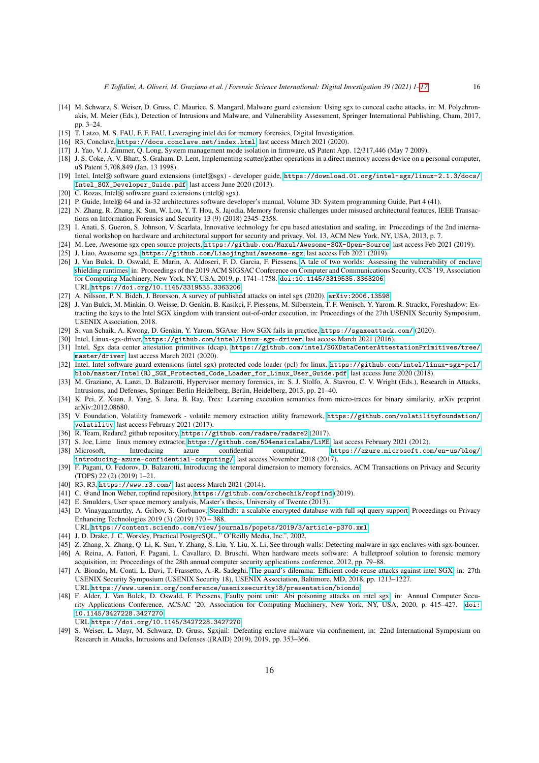- <span id="page-15-0"></span>[14] M. Schwarz, S. Weiser, D. Gruss, C. Maurice, S. Mangard, Malware guard extension: Using sgx to conceal cache attacks, in: M. Polychronakis, M. Meier (Eds.), Detection of Intrusions and Malware, and Vulnerability Assessment, Springer International Publishing, Cham, 2017, pp. 3–24.
- <span id="page-15-1"></span>[15] T. Latzo, M. S. FAU, F. F. FAU, Leveraging intel dci for memory forensics, Digital Investigation.
- <span id="page-15-2"></span>[16] R3, Conclave, <https://docs.conclave.net/index.html>, last access March 2021 (2020).
- <span id="page-15-3"></span>[17] J. Yao, V. J. Zimmer, Q. Long, System management mode isolation in firmware, uS Patent App. 12/317,446 (May 7 2009).
- <span id="page-15-4"></span>[18] J. S. Coke, A. V. Bhatt, S. Graham, D. Lent, Implementing scatter/gather operations in a direct memory access device on a personal computer, uS Patent 5,708,849 (Jan. 13 1998).
- <span id="page-15-5"></span>[19] Intel, Intel® software guard extensions (intel®sgx) - developer guide, [https://download.01.org/intel-sgx/linux-2.1.3/docs/](https://download.01.org/intel-sgx/linux-2.1.3/docs/Intel_SGX_Developer_Guide.pdf) [Intel\\_SGX\\_Developer\\_Guide.pdf](https://download.01.org/intel-sgx/linux-2.1.3/docs/Intel_SGX_Developer_Guide.pdf), last access June 2020 (2013).
- <span id="page-15-6"></span>[20] C. Rozas, Intel® software guard extensions (intel® sgx).
- <span id="page-15-7"></span>[21] P. Guide, Intel® 64 and ia-32 architectures software developer's manual, Volume 3D: System programming Guide, Part 4 (41).
- <span id="page-15-8"></span>[22] N. Zhang, R. Zhang, K. Sun, W. Lou, Y. T. Hou, S. Jajodia, Memory forensic challenges under misused architectural features, IEEE Transactions on Information Forensics and Security 13 (9) (2018) 2345–2358.
- <span id="page-15-9"></span>[23] I. Anati, S. Gueron, S. Johnson, V. Scarlata, Innovative technology for cpu based attestation and sealing, in: Proceedings of the 2nd international workshop on hardware and architectural support for security and privacy, Vol. 13, ACM New York, NY, USA, 2013, p. 7.
- <span id="page-15-10"></span>[24] M. Lee, Awesome sgx open source projects, <https://github.com/Maxul/Awesome-SGX-Open-Source>, last access Feb 2021 (2019).
- <span id="page-15-12"></span><span id="page-15-11"></span>[25] J. Liao, Awesome sgx, <https://github.com/Liaojinghui/awesome-sgx>, last access Feb 2021 (2019). [26] J. Van Bulck, D. Oswald, E. Marin, A. Aldoseri, F. D. Garcia, F. Piessens, [A tale of two worlds: Assessing the vulnerability of enclave](https://doi.org/10.1145/3319535.3363206)
- [shielding runtimes,](https://doi.org/10.1145/3319535.3363206) in: Proceedings of the 2019 ACM SIGSAC Conference on Computer and Communications Security, CCS '19, Association for Computing Machinery, New York, NY, USA, 2019, p. 1741–1758. [doi:10.1145/3319535.3363206](http://dx.doi.org/10.1145/3319535.3363206). URL <https://doi.org/10.1145/3319535.3363206>
- <span id="page-15-13"></span>[27] A. Nilsson, P. N. Bideh, J. Brorsson, A survey of published attacks on intel sgx (2020). [arXiv:2006.13598](http://arxiv.org/abs/2006.13598).
- <span id="page-15-14"></span>[28] J. Van Bulck, M. Minkin, O. Weisse, D. Genkin, B. Kasikci, F. Piessens, M. Silberstein, T. F. Wenisch, Y. Yarom, R. Strackx, Foreshadow: Extracting the keys to the Intel SGX kingdom with transient out-of-order execution, in: Proceedings of the 27th USENIX Security Symposium, USENIX Association, 2018.
- <span id="page-15-15"></span>[29] S. van Schaik, A. Kwong, D. Genkin, Y. Yarom, SGAxe: How SGX fails in practice, <https://sgaxeattack.com/> (2020).
- <span id="page-15-16"></span>[30] Intel, Linux-sgx-driver, <https://github.com/intel/linux-sgx-driver>, last access March 2021 (2016).
- <span id="page-15-17"></span>[31] Intel, Sgx data center attestation primitives (dcap), [https://github.com/intel/SGXDataCenterAttestationPrimitives/tree/](https://github.com/intel/SGXDataCenterAttestationPrimitives/tree/master/driver) [master/driver](https://github.com/intel/SGXDataCenterAttestationPrimitives/tree/master/driver), last access March 2021 (2020).
- <span id="page-15-18"></span>[32] Intel, Intel software guard extensions (intel sgx) protected code loader (pcl) for linux, [https://github.com/intel/linux-sgx-pcl/](https://github.com/intel/linux-sgx-pcl/blob/master/Intel(R)_SGX_Protected_Code_Loader_for_Linux_User_Guide.pdf) [blob/master/Intel\(R\)\\_SGX\\_Protected\\_Code\\_Loader\\_for\\_Linux\\_User\\_Guide.pdf](https://github.com/intel/linux-sgx-pcl/blob/master/Intel(R)_SGX_Protected_Code_Loader_for_Linux_User_Guide.pdf), last access June 2020 (2018).
- <span id="page-15-19"></span>[33] M. Graziano, A. Lanzi, D. Balzarotti, Hypervisor memory forensics, in: S. J. Stolfo, A. Stavrou, C. V. Wright (Eds.), Research in Attacks, Intrusions, and Defenses, Springer Berlin Heidelberg, Berlin, Heidelberg, 2013, pp. 21–40.
- <span id="page-15-20"></span>[34] K. Pei, Z. Xuan, J. Yang, S. Jana, B. Ray, Trex: Learning execution semantics from micro-traces for binary similarity, arXiv preprint arXiv:2012.08680.
- <span id="page-15-21"></span>[35] V. Foundation, Volatility framework - volatile memory extraction utility framework, [https://github.com/volatilityfoundation/](https://github.com/volatilityfoundation/volatility) [volatility](https://github.com/volatilityfoundation/volatility), last access February 2021 (2017).
- <span id="page-15-22"></span>[36] R. Team, Radare2 github repository, <https://github.com/radare/radare2> (2017).
- <span id="page-15-23"></span>[37] S. Joe, Lime linux memory extractor, <https://github.com/504ensicsLabs/LiME>, last access February 2021 (2012).
- <span id="page-15-24"></span>[38] Microsoft, Introducing azure confidential computing, [https://azure.microsoft.com/en-us/blog/](https://azure.microsoft.com/en-us/blog/introducing-azure-confidential-computing/) [introducing-azure-confidential-computing/](https://azure.microsoft.com/en-us/blog/introducing-azure-confidential-computing/), last access November 2018 (2017).
- <span id="page-15-25"></span>[39] F. Pagani, O. Fedorov, D. Balzarotti, Introducing the temporal dimension to memory forensics, ACM Transactions on Privacy and Security (TOPS) 22 (2) (2019) 1–21.
- <span id="page-15-26"></span>[40] R3, R3, <https://www.r3.com/>, last access March 2021 (2014).
- <span id="page-15-27"></span>[41] C. @and Inon Weber, ropfind repository, <https://github.com/orchechik/ropfind> (2019).
- <span id="page-15-28"></span>[42] E. Smulders, User space memory analysis, Master's thesis, University of Twente (2013).
- <span id="page-15-29"></span>[43] D. Vinayagamurthy, A. Gribov, S. Gorbunov, [Stealthdb: a scalable encrypted database with full sql query support,](https://content.sciendo.com/view/journals/popets/2019/3/article-p370.xml) Proceedings on Privacy Enhancing Technologies 2019 (3) (2019) 370 – 388.
	- URL <https://content.sciendo.com/view/journals/popets/2019/3/article-p370.xml>
- <span id="page-15-30"></span>[44] J. D. Drake, J. C. Worsley, Practical PostgreSQL, " O'Reilly Media, Inc.", 2002.
- <span id="page-15-31"></span>[45] Z. Zhang, X. Zhang, Q. Li, K. Sun, Y. Zhang, S. Liu, Y. Liu, X. Li, See through walls: Detecting malware in sgx enclaves with sgx-bouncer.
- <span id="page-15-32"></span>[46] A. Reina, A. Fattori, F. Pagani, L. Cavallaro, D. Bruschi, When hardware meets software: A bulletproof solution to forensic memory acquisition, in: Proceedings of the 28th annual computer security applications conference, 2012, pp. 79–88.
- <span id="page-15-33"></span>[47] A. Biondo, M. Conti, L. Davi, T. Frassetto, A.-R. Sadeghi, The guard's dilemma: Effi[cient code-reuse attacks against intel SGX,](https://www.usenix.org/conference/usenixsecurity18/presentation/biondo) in: 27th USENIX Security Symposium (USENIX Security 18), USENIX Association, Baltimore, MD, 2018, pp. 1213–1227. URL <https://www.usenix.org/conference/usenixsecurity18/presentation/biondo>
- <span id="page-15-34"></span>[48] F. Alder, J. Van Bulck, D. Oswald, F. Piessens, [Faulty point unit: Abi poisoning attacks on intel sgx,](https://doi.org/10.1145/3427228.3427270) in: Annual Computer Security Applications Conference, ACSAC '20, Association for Computing Machinery, New York, NY, USA, 2020, p. 415–427. [doi:](http://dx.doi.org/10.1145/3427228.3427270) [10.1145/3427228.3427270](http://dx.doi.org/10.1145/3427228.3427270).
- URL <https://doi.org/10.1145/3427228.3427270>
- <span id="page-15-35"></span>[49] S. Weiser, L. Mayr, M. Schwarz, D. Gruss, Sgxjail: Defeating enclave malware via confinement, in: 22nd International Symposium on Research in Attacks, Intrusions and Defenses ({RAID} 2019), 2019, pp. 353–366.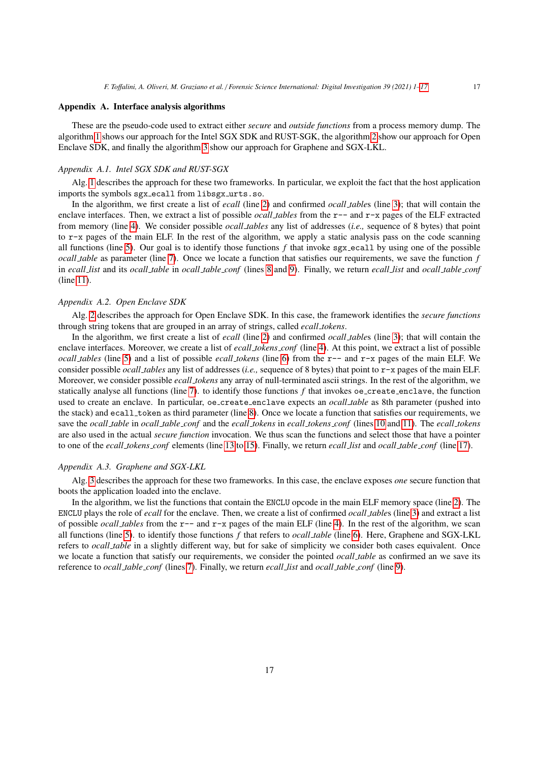# <span id="page-16-0"></span>Appendix A. Interface analysis algorithms

These are the pseudo-code used to extract either *secure* and *outside functions* from a process memory dump. The algorithm [1](#page-17-1) shows our approach for the Intel SGX SDK and RUST-SGK, the algorithm [2](#page-17-2) show our approach for Open Enclave SDK, and finally the algorithm [3](#page-17-0) show our approach for Graphene and SGX-LKL.

#### *Appendix A.1. Intel SGX SDK and RUST-SGX*

Alg. [1](#page-17-1) describes the approach for these two frameworks. In particular, we exploit the fact that the host application imports the symbols sgx ecall from libsgx urts.so.

In the algorithm, we first create a list of *ecall* (line [2\)](#page-17-3) and confirmed *ocall table*s (line [3\)](#page-17-4); that will contain the enclave interfaces. Then, we extract a list of possible *ocall tables* from the r-- and r-x pages of the ELF extracted from memory (line [4\)](#page-17-5). We consider possible *ocall tables* any list of addresses (*i.e.,* sequence of 8 bytes) that point to r-x pages of the main ELF. In the rest of the algorithm, we apply a static analysis pass on the code scanning all functions (line [5\)](#page-17-6). Our goal is to identify those functions  $f$  that invoke sgx ecall by using one of the possible *ocall table* as parameter (line [7\)](#page-17-7). Once we locate a function that satisfies our requirements, we save the function *f* in *ecall list* and its *ocall table* in *ocall table conf* (lines [8](#page-17-8) and [9\)](#page-17-9). Finally, we return *ecall list* and *ocall table conf* (line [11\)](#page-17-10).

# *Appendix A.2. Open Enclave SDK*

Alg. [2](#page-17-2) describes the approach for Open Enclave SDK. In this case, the framework identifies the *secure functions* through string tokens that are grouped in an array of strings, called *ecall tokens*.

In the algorithm, we first create a list of *ecall* (line [2\)](#page-17-11) and confirmed *ocall table*s (line [3\)](#page-17-12); that will contain the enclave interfaces. Moreover, we create a list of *ecall tokens conf* (line [4\)](#page-17-13). At this point, we extract a list of possible *ocall tables* (line [5\)](#page-17-14) and a list of possible *ecall tokens* (line [6\)](#page-17-15) from the r-- and r-x pages of the main ELF. We consider possible *ocall tables* any list of addresses (*i.e.,* sequence of 8 bytes) that point to r-x pages of the main ELF. Moreover, we consider possible *ecall tokens* any array of null-terminated ascii strings. In the rest of the algorithm, we statically analyse all functions (line [7\)](#page-17-16). to identify those functions  $f$  that invokes oe create enclave, the function used to create an enclave. In particular, oe create enclave expects an *ocall table* as 8th parameter (pushed into the stack) and ecall token as third parameter (line [8\)](#page-17-17). Once we locate a function that satisfies our requirements, we save the *ocall table* in *ocall table conf* and the *ecall tokens* in *ecall tokens conf* (lines [10](#page-17-18) and [11\)](#page-17-19). The *ecall tokens* are also used in the actual *secure function* invocation. We thus scan the functions and select those that have a pointer to one of the *ecall tokens conf* elements (line [13](#page-17-20) to [15\)](#page-17-21). Finally, we return *ecall list* and *ocall table conf* (line [17\)](#page-17-22).

#### *Appendix A.3. Graphene and SGX-LKL*

Alg. [3](#page-17-0) describes the approach for these two frameworks. In this case, the enclave exposes *one* secure function that boots the application loaded into the enclave.

In the algorithm, we list the functions that contain the ENCLU opcode in the main ELF memory space (line [2\)](#page-17-23). The ENCLU plays the role of *ecall* for the enclave. Then, we create a list of confirmed *ocall table*s (line [3\)](#page-17-24) and extract a list of possible *ocall tables* from the r-- and r-x pages of the main ELF (line [4\)](#page-17-25). In the rest of the algorithm, we scan all functions (line [5\)](#page-17-26). to identify those functions *f* that refers to *ocall table* (line [6\)](#page-17-27). Here, Graphene and SGX-LKL refers to *ocall table* in a slightly different way, but for sake of simplicity we consider both cases equivalent. Once we locate a function that satisfy our requirements, we consider the pointed *ocall table* as confirmed an we save its reference to *ocall table conf* (lines [7\)](#page-17-28). Finally, we return *ecall list* and *ocall table conf* (line [9\)](#page-17-29).